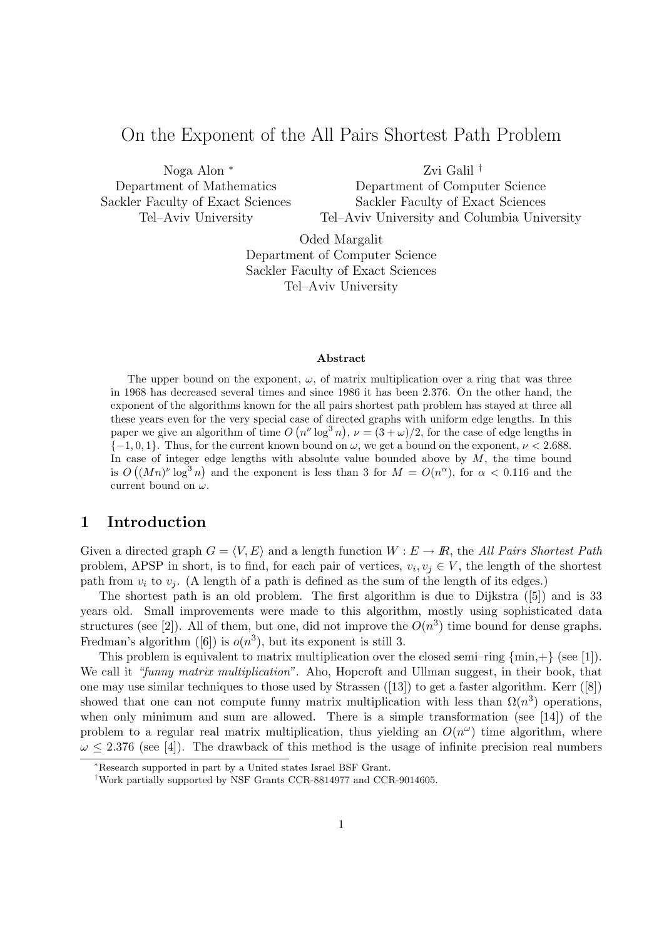# On the Exponent of the All Pairs Shortest Path Problem

Noga Alon <sup>∗</sup> Department of Mathematics Sackler Faculty of Exact Sciences Tel–Aviv University

Zvi Galil †

Department of Computer Science Sackler Faculty of Exact Sciences Tel–Aviv University and Columbia University

Oded Margalit Department of Computer Science Sackler Faculty of Exact Sciences Tel–Aviv University

#### Abstract

The upper bound on the exponent,  $\omega$ , of matrix multiplication over a ring that was three in 1968 has decreased several times and since 1986 it has been 2.376. On the other hand, the exponent of the algorithms known for the all pairs shortest path problem has stayed at three all these years even for the very special case of directed graphs with uniform edge lengths. In this paper we give an algorithm of time  $O(n^{\nu} \log^3 n)$ ,  $\nu = (3 + \omega)/2$ , for the case of edge lengths in  $\{-1, 0, 1\}$ . Thus, for the current known bound on  $\omega$ , we get a bound on the exponent,  $\nu < 2.688$ . In case of integer edge lengths with absolute value bounded above by  $M$ , the time bound is  $O((Mn)^{\nu} \log^3 n)$  and the exponent is less than 3 for  $M = O(n^{\alpha})$ , for  $\alpha < 0.116$  and the current bound on  $\omega$ .

### 1 Introduction

Given a directed graph  $G = \langle V, E \rangle$  and a length function  $W : E \to \mathbb{R}$ , the All Pairs Shortest Path problem, APSP in short, is to find, for each pair of vertices,  $v_i, v_j \in V$ , the length of the shortest path from  $v_i$  to  $v_j$ . (A length of a path is defined as the sum of the length of its edges.)

The shortest path is an old problem. The first algorithm is due to Dijkstra ([5]) and is 33 years old. Small improvements were made to this algorithm, mostly using sophisticated data structures (see [2]). All of them, but one, did not improve the  $O(n^3)$  time bound for dense graphs. Fredman's algorithm ([6]) is  $o(n^3)$ , but its exponent is still 3.

This problem is equivalent to matrix multiplication over the closed semi-ring  $\{\min,+\}$  (see [1]). We call it "funny matrix multiplication". Aho, Hopcroft and Ullman suggest, in their book, that one may use similar techniques to those used by Strassen ([13]) to get a faster algorithm. Kerr ([8]) showed that one can not compute funny matrix multiplication with less than  $\Omega(n^3)$  operations, when only minimum and sum are allowed. There is a simple transformation (see [14]) of the problem to a regular real matrix multiplication, thus yielding an  $O(n^{\omega})$  time algorithm, where  $\omega \leq 2.376$  (see [4]). The drawback of this method is the usage of infinite precision real numbers

<sup>∗</sup>Research supported in part by a United states Israel BSF Grant.

<sup>†</sup>Work partially supported by NSF Grants CCR-8814977 and CCR-9014605.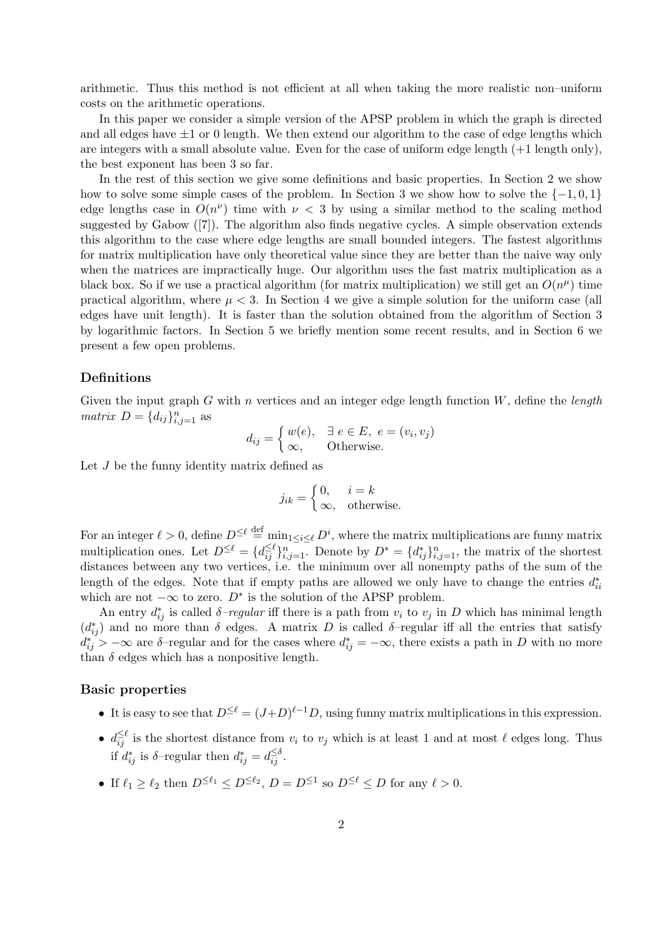arithmetic. Thus this method is not efficient at all when taking the more realistic non–uniform costs on the arithmetic operations.

In this paper we consider a simple version of the APSP problem in which the graph is directed and all edges have  $\pm 1$  or 0 length. We then extend our algorithm to the case of edge lengths which are integers with a small absolute value. Even for the case of uniform edge length  $(+1 \text{ length only})$ , the best exponent has been 3 so far.

In the rest of this section we give some definitions and basic properties. In Section 2 we show how to solve some simple cases of the problem. In Section 3 we show how to solve the  $\{-1, 0, 1\}$ edge lengths case in  $O(n^{\nu})$  time with  $\nu < 3$  by using a similar method to the scaling method suggested by Gabow ([7]). The algorithm also finds negative cycles. A simple observation extends this algorithm to the case where edge lengths are small bounded integers. The fastest algorithms for matrix multiplication have only theoretical value since they are better than the naive way only when the matrices are impractically huge. Our algorithm uses the fast matrix multiplication as a black box. So if we use a practical algorithm (for matrix multiplication) we still get an  $O(n^{\mu})$  time practical algorithm, where  $\mu < 3$ . In Section 4 we give a simple solution for the uniform case (all edges have unit length). It is faster than the solution obtained from the algorithm of Section 3 by logarithmic factors. In Section 5 we briefly mention some recent results, and in Section 6 we present a few open problems.

#### Definitions

Given the input graph  $G$  with n vertices and an integer edge length function  $W$ , define the *length* matrix  $D = \{d_{ij}\}_{i,j=1}^n$  as

$$
d_{ij} = \begin{cases} w(e), & \exists e \in E, e = (v_i, v_j) \\ \infty, & \text{Otherwise.} \end{cases}
$$

Let J be the funny identity matrix defined as

$$
j_{ik} = \begin{cases} 0, & i = k \\ \infty, & \text{otherwise.} \end{cases}
$$

For an integer  $\ell > 0$ , define  $D^{\leq \ell} \stackrel{\text{def}}{=} \min_{1 \leq i \leq \ell} D^i$ , where the matrix multiplications are funny matrix multiplication ones. Let  $D^{\leq \ell} = \{d_{ij}^{\leq \ell}\}_{i,j=1}^n$ . Denote by  $D^* = \{d_{ij}^*\}_{i,j=1}^n$ , the matrix of the shortest distances between any two vertices, i.e. the minimum over all nonempty paths of the sum of the length of the edges. Note that if empty paths are allowed we only have to change the entries  $d_i^*$ ii which are not  $-\infty$  to zero. D<sup>\*</sup> is the solution of the APSP problem.

An entry  $d_{ij}^*$  is called  $\delta$ -regular iff there is a path from  $v_i$  to  $v_j$  in D which has minimal length  $(d_{ij}^*)$  and no more than  $\delta$  edges. A matrix D is called  $\delta$ -regular iff all the entries that satisfy  $d_{ij}^*$   $> -\infty$  are  $\delta$ -regular and for the cases where  $d_{ij}^* = -\infty$ , there exists a path in D with no more than  $\delta$  edges which has a nonpositive length.

#### Basic properties

- It is easy to see that  $D^{\leq \ell} = (J+D)^{\ell-1}D$ , using funny matrix multiplications in this expression.
- $d_{ij}^{\leq \ell}$  is the shortest distance from  $v_i$  to  $v_j$  which is at least 1 and at most  $\ell$  edges long. Thus if  $d_{ij}^*$  is  $\delta$ -regular then  $d_{ij}^* = d_{ij}^{\leq \delta}$ .
- If  $\ell_1 \geq \ell_2$  then  $D^{\leq \ell_1} \leq D^{\leq \ell_2}$ ,  $D = D^{\leq 1}$  so  $D^{\leq \ell} \leq D$  for any  $\ell > 0$ .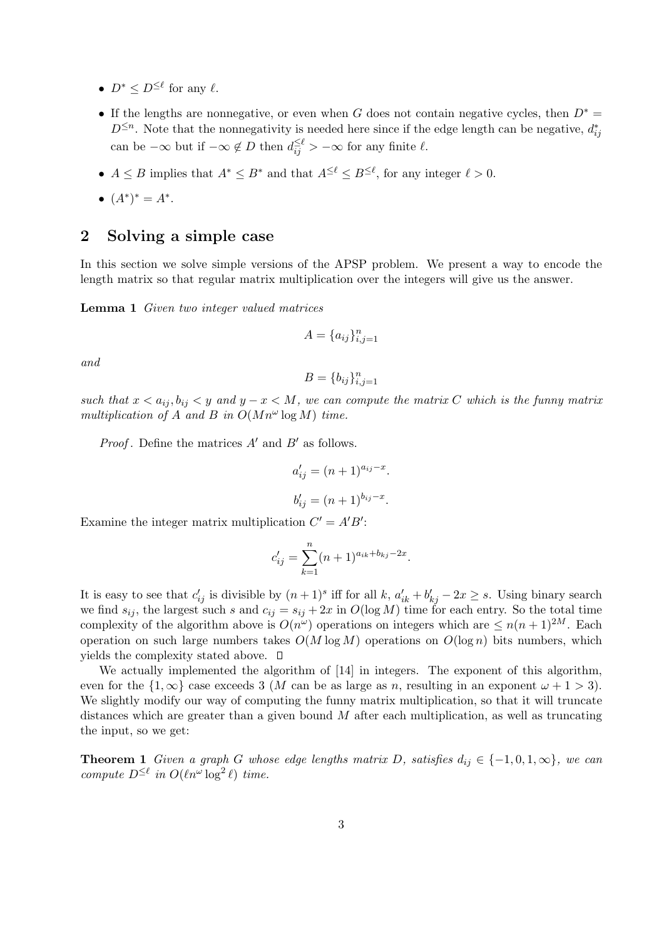- $D^* \leq D^{\leq \ell}$  for any  $\ell$ .
- If the lengths are nonnegative, or even when G does not contain negative cycles, then  $D^* =$  $D^{\leq n}$ . Note that the nonnegativity is needed here since if the edge length can be negative,  $d_i^*$ ij can be  $-\infty$  but if  $-\infty \notin D$  then  $d_{ij}^{\leq \ell} > -\infty$  for any finite  $\ell$ .
- $A \leq B$  implies that  $A^* \leq B^*$  and that  $A^{\leq \ell} \leq B^{\leq \ell}$ , for any integer  $\ell > 0$ .
- $(A^*)^* = A^*$ .

# 2 Solving a simple case

In this section we solve simple versions of the APSP problem. We present a way to encode the length matrix so that regular matrix multiplication over the integers will give us the answer.

Lemma 1 Given two integer valued matrices

$$
A = \{a_{ij}\}_{i,j=1}^n
$$

and

$$
B = \{b_{ij}\}_{i,j=1}^n
$$

such that  $x < a_{ij}, b_{ij} < y$  and  $y - x < M$ , we can compute the matrix C which is the funny matrix multiplication of A and B in  $O(Mn^{\omega} \log M)$  time.

*Proof.* Define the matrices  $A'$  and  $B'$  as follows.

$$
a'_{ij} = (n+1)^{a_{ij} - x}.
$$
  

$$
b'_{ij} = (n+1)^{b_{ij} - x}.
$$

Examine the integer matrix multiplication  $C' = A'B'$ :

$$
c'_{ij} = \sum_{k=1}^{n} (n+1)^{a_{ik} + b_{kj} - 2x}.
$$

It is easy to see that  $c'_{ij}$  is divisible by  $(n+1)^s$  iff for all k,  $a'_{ik} + b'_{kj} - 2x \geq s$ . Using binary search we find  $s_{ij}$ , the largest such s and  $c_{ij} = s_{ij} + 2x$  in  $O(\log M)$  time for each entry. So the total time complexity of the algorithm above is  $O(n^{\omega})$  operations on integers which are  $\leq n(n+1)^{2M}$ . Each operation on such large numbers takes  $O(M \log M)$  operations on  $O(\log n)$  bits numbers, which yields the complexity stated above.

We actually implemented the algorithm of [14] in integers. The exponent of this algorithm, even for the  $\{1,\infty\}$  case exceeds 3 (M can be as large as n, resulting in an exponent  $\omega+1>3$ ). We slightly modify our way of computing the funny matrix multiplication, so that it will truncate distances which are greater than a given bound  $M$  after each multiplication, as well as truncating the input, so we get:

**Theorem 1** Given a graph G whose edge lengths matrix D, satisfies  $d_{ij} \in \{-1,0,1,\infty\}$ , we can compute  $D^{\leq \ell}$  in  $O(\ell n^{\omega} \log^2 \ell)$  time.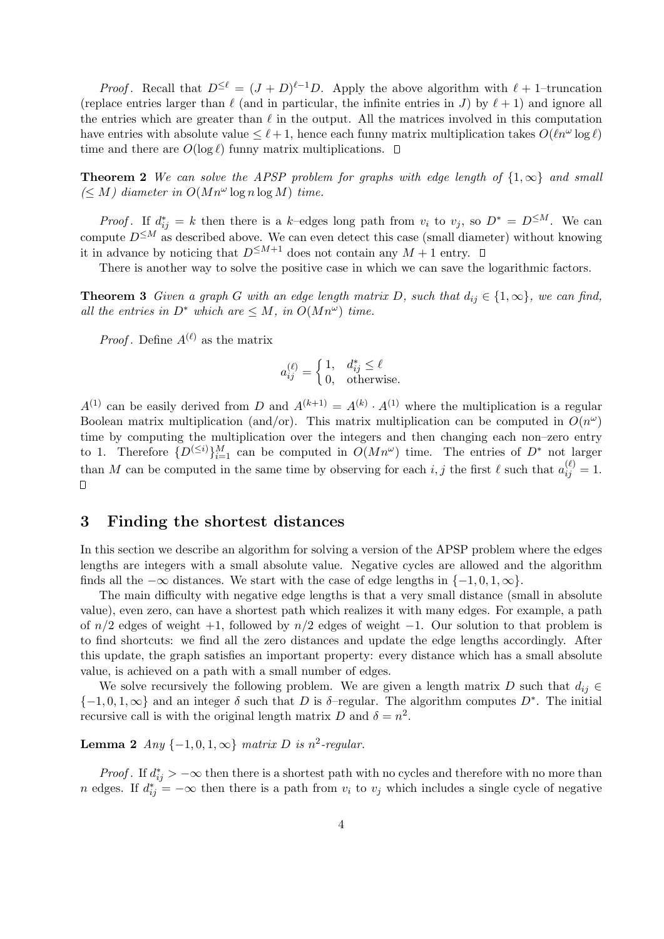*Proof.* Recall that  $D^{\leq \ell} = (J + D)^{\ell-1}D$ . Apply the above algorithm with  $\ell + 1$ -truncation (replace entries larger than  $\ell$  (and in particular, the infinite entries in J) by  $\ell + 1$ ) and ignore all the entries which are greater than  $\ell$  in the output. All the matrices involved in this computation have entries with absolute value  $\leq \ell + 1$ , hence each funny matrix multiplication takes  $O(\ell n^{\omega} \log \ell)$ time and there are  $O(\log \ell)$  funny matrix multiplications.  $\Box$ 

**Theorem 2** We can solve the APSP problem for graphs with edge length of  $\{1,\infty\}$  and small  $(\leq M)$  diameter in  $O(Mn^{\omega} \log n \log M)$  time.

*Proof.* If  $d_{ij}^* = k$  then there is a k–edges long path from  $v_i$  to  $v_j$ , so  $D^* = D^{\leq M}$ . We can compute  $D^{\leq M}$  as described above. We can even detect this case (small diameter) without knowing it in advance by noticing that  $D^{\leq M+1}$  does not contain any  $M+1$  entry.  $\Box$ 

There is another way to solve the positive case in which we can save the logarithmic factors.

**Theorem 3** Given a graph G with an edge length matrix D, such that  $d_{ij} \in \{1,\infty\}$ , we can find, all the entries in  $D^*$  which are  $\leq M$ , in  $O(Mn^{\omega})$  time.

*Proof.* Define  $A^{(\ell)}$  as the matrix

$$
a_{ij}^{(\ell)} = \begin{cases} 1, & d_{ij}^* \le \ell \\ 0, & \text{otherwise.} \end{cases}
$$

 $A^{(1)}$  can be easily derived from D and  $A^{(k+1)} = A^{(k)} \cdot A^{(1)}$  where the multiplication is a regular Boolean matrix multiplication (and/or). This matrix multiplication can be computed in  $O(n^{\omega})$ time by computing the multiplication over the integers and then changing each non–zero entry to 1. Therefore  $\{D^{(\leq i)}\}_{i=1}^M$  can be computed in  $O(Mn^{\omega})$  time. The entries of  $D^*$  not larger than M can be computed in the same time by observing for each i, j the first  $\ell$  such that  $a_{ij}^{(\ell)} = 1$ .  $\Box$ 

### 3 Finding the shortest distances

In this section we describe an algorithm for solving a version of the APSP problem where the edges lengths are integers with a small absolute value. Negative cycles are allowed and the algorithm finds all the  $-\infty$  distances. We start with the case of edge lengths in  $\{-1, 0, 1, \infty\}$ .

The main difficulty with negative edge lengths is that a very small distance (small in absolute value), even zero, can have a shortest path which realizes it with many edges. For example, a path of  $n/2$  edges of weight +1, followed by  $n/2$  edges of weight -1. Our solution to that problem is to find shortcuts: we find all the zero distances and update the edge lengths accordingly. After this update, the graph satisfies an important property: every distance which has a small absolute value, is achieved on a path with a small number of edges.

We solve recursively the following problem. We are given a length matrix D such that  $d_{ij} \in$  $\{-1, 0, 1, \infty\}$  and an integer  $\delta$  such that D is  $\delta$ -regular. The algorithm computes D<sup>\*</sup>. The initial recursive call is with the original length matrix D and  $\delta = n^2$ .

## **Lemma 2**  $Any \{-1,0,1,\infty\}$  matrix D is n<sup>2</sup>-regular.

*Proof.* If  $d_{ij}^*$  >  $-\infty$  then there is a shortest path with no cycles and therefore with no more than *n* edges. If  $d_{ij}^* = -\infty$  then there is a path from  $v_i$  to  $v_j$  which includes a single cycle of negative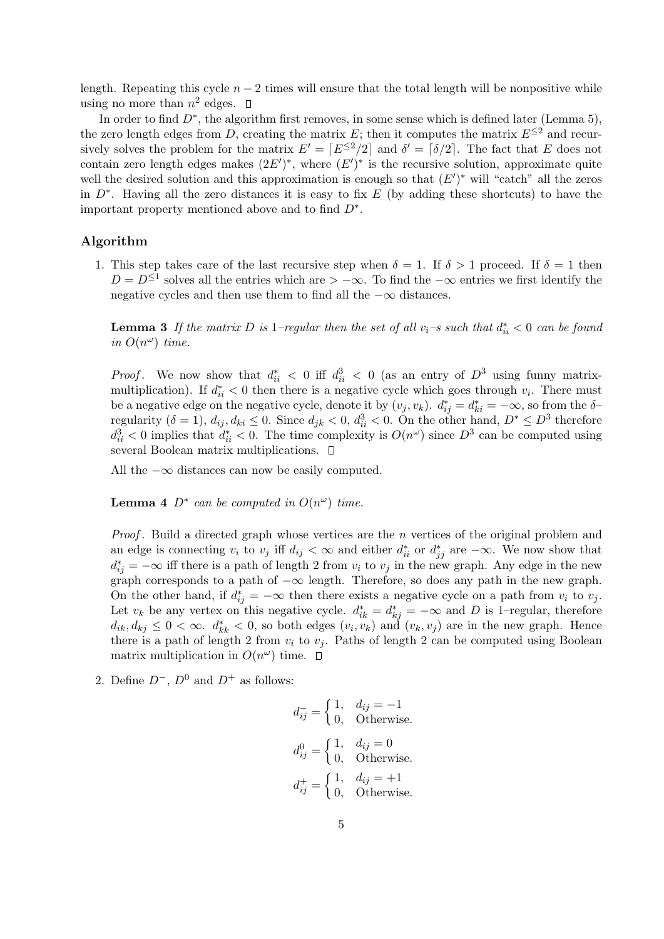length. Repeating this cycle  $n-2$  times will ensure that the total length will be nonpositive while using no more than  $n^2$  edges.

In order to find  $D^*$ , the algorithm first removes, in some sense which is defined later (Lemma 5), the zero length edges from D, creating the matrix E; then it computes the matrix  $E^{\leq 2}$  and recursively solves the problem for the matrix  $E' = \lceil E^{\leq 2}/2 \rceil$  and  $\delta' = \lceil \delta/2 \rceil$ . The fact that E does not contain zero length edges makes  $(2E')^*$ , where  $(E')^*$  is the recursive solution, approximate quite well the desired solution and this approximation is enough so that  $(E')^*$  will "catch" all the zeros in  $D^*$ . Having all the zero distances it is easy to fix E (by adding these shortcuts) to have the important property mentioned above and to find  $D^*$ .

#### Algorithm

1. This step takes care of the last recursive step when  $\delta = 1$ . If  $\delta > 1$  proceed. If  $\delta = 1$  then  $D = D^{\leq 1}$  solves all the entries which are  $> -\infty$ . To find the  $-\infty$  entries we first identify the negative cycles and then use them to find all the  $-\infty$  distances.

**Lemma 3** If the matrix D is 1-regular then the set of all  $v_i$ -s such that  $d_{ii}^* < 0$  can be found in  $O(n^{\omega})$  time.

*Proof.* We now show that  $d_{ii}^* < 0$  iff  $d_{ii}^3 < 0$  (as an entry of  $D^3$  using funny matrixmultiplication). If  $d_{ii}^* < 0$  then there is a negative cycle which goes through  $v_i$ . There must be a negative edge on the negative cycle, denote it by  $(v_j, v_k)$ .  $d_{ij}^* = d_{ki}^* = -\infty$ , so from the  $\delta$ regularity  $(\delta = 1)$ ,  $d_{ij}$ ,  $d_{ki} \leq 0$ . Since  $d_{jk} < 0$ ,  $d_{ii}^3 < 0$ . On the other hand,  $D^* \leq D^3$  therefore  $d_{ii}^3$  < 0 implies that  $d_{ii}^*$  < 0. The time complexity is  $O(n^{\omega})$  since  $D^3$  can be computed using several Boolean matrix multiplications.

All the  $-\infty$  distances can now be easily computed.

**Lemma 4**  $D^*$  can be computed in  $O(n^{\omega})$  time.

Proof . Build a directed graph whose vertices are the n vertices of the original problem and an edge is connecting  $v_i$  to  $v_j$  iff  $d_{ij} < \infty$  and either  $d_{ii}^*$  or  $d_{jj}^*$  are  $-\infty$ . We now show that  $d_{ij}^* = -\infty$  iff there is a path of length 2 from  $v_i$  to  $v_j$  in the new graph. Any edge in the new graph corresponds to a path of  $-\infty$  length. Therefore, so does any path in the new graph. On the other hand, if  $d_{ij}^* = -\infty$  then there exists a negative cycle on a path from  $v_i$  to  $v_j$ . Let  $v_k$  be any vertex on this negative cycle.  $d_{ik}^* = d_{kj}^* = -\infty$  and D is 1–regular, therefore  $d_{ik}, d_{kj} \leq 0 < \infty$ .  $d_{kk}^* < 0$ , so both edges  $(v_i, v_k)$  and  $(v_k, v_j)$  are in the new graph. Hence there is a path of length 2 from  $v_i$  to  $v_j$ . Paths of length 2 can be computed using Boolean matrix multiplication in  $O(n^{\omega})$  time.

2. Define  $D^-$ ,  $D^0$  and  $D^+$  as follows:

$$
d_{ij}^- = \begin{cases} 1, & d_{ij} = -1 \\ 0, & \text{Otherwise.} \end{cases}
$$
\n
$$
d_{ij}^0 = \begin{cases} 1, & d_{ij} = 0 \\ 0, & \text{Otherwise.} \end{cases}
$$
\n
$$
d_{ij}^+ = \begin{cases} 1, & d_{ij} = +1 \\ 0, & \text{Otherwise.} \end{cases}
$$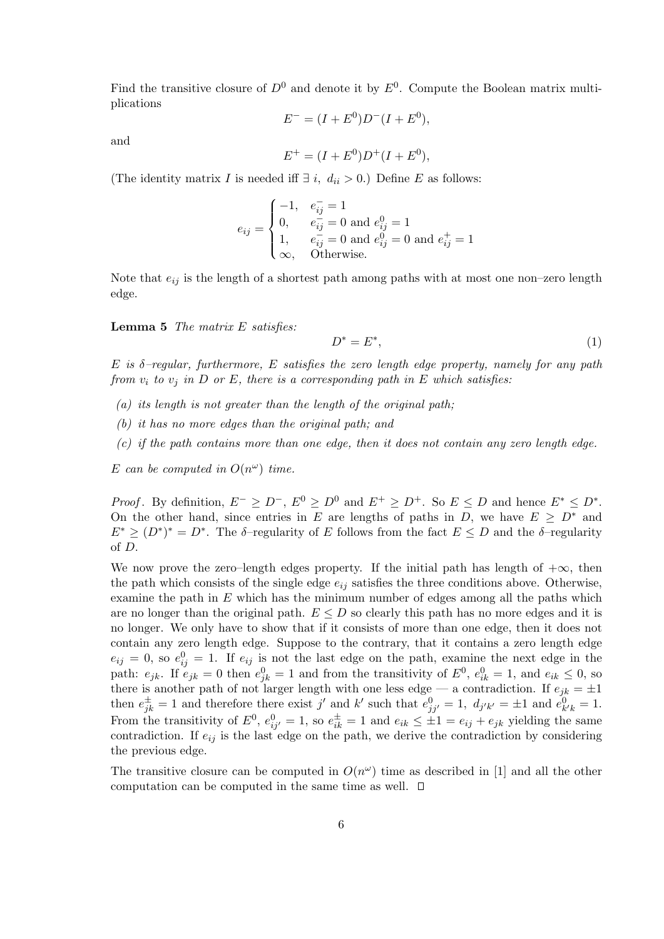Find the transitive closure of  $D^0$  and denote it by  $E^0$ . Compute the Boolean matrix multiplications

$$
E^- = (I + E^0)D^-(I + E^0),
$$

and

$$
E^+ = (I + E^0)D^+(I + E^0),
$$

(The identity matrix I is needed iff  $\exists i, d_{ii} > 0$ .) Define E as follows:

$$
e_{ij} = \begin{cases} -1, & e_{ij}^{-} = 1\\ 0, & e_{ij}^{-} = 0 \text{ and } e_{ij}^{0} = 1\\ 1, & e_{ij}^{-} = 0 \text{ and } e_{ij}^{0} = 0 \text{ and } e_{ij}^{+} = 1\\ \infty, & \text{Otherwise.} \end{cases}
$$

Note that  $e_{ij}$  is the length of a shortest path among paths with at most one non–zero length edge.

**Lemma 5** The matrix  $E$  satisfies:

$$
D^* = E^*,\tag{1}
$$

E is  $\delta$ -regular, furthermore, E satisfies the zero length edge property, namely for any path from  $v_i$  to  $v_j$  in D or E, there is a corresponding path in E which satisfies:

- $(a)$  its length is not greater than the length of the original path;
- (b) it has no more edges than the original path; and
- (c) if the path contains more than one edge, then it does not contain any zero length edge.

E can be computed in  $O(n^{\omega})$  time.

*Proof.* By definition,  $E^- \geq D^-$ ,  $E^0 \geq D^0$  and  $E^+ \geq D^+$ . So  $E \leq D$  and hence  $E^* \leq D^*$ . On the other hand, since entries in E are lengths of paths in D, we have  $E \geq D^*$  and  $E^* \geq (D^*)^* = D^*$ . The  $\delta$ -regularity of E follows from the fact  $E \leq D$  and the  $\delta$ -regularity of D.

We now prove the zero–length edges property. If the initial path has length of  $+\infty$ , then the path which consists of the single edge  $e_{ij}$  satisfies the three conditions above. Otherwise, examine the path in  $E$  which has the minimum number of edges among all the paths which are no longer than the original path.  $E \leq D$  so clearly this path has no more edges and it is no longer. We only have to show that if it consists of more than one edge, then it does not contain any zero length edge. Suppose to the contrary, that it contains a zero length edge  $e_{ij} = 0$ , so  $e_{ij}^0 = 1$ . If  $e_{ij}$  is not the last edge on the path, examine the next edge in the path:  $e_{jk}$ . If  $e_{jk} = 0$  then  $e_{jk}^0 = 1$  and from the transitivity of  $E^0$ ,  $e_{ik}^0 = 1$ , and  $e_{ik} \leq 0$ , so there is another path of not larger length with one less edge — a contradiction. If  $e_{jk} = \pm 1$ then  $e_{jk}^{\pm} = 1$  and therefore there exist j' and k' such that  $e_{jj'}^0 = 1$ ,  $d_{j'k'} = \pm 1$  and  $e_{k'k}^0 = 1$ . From the transitivity of  $E^0$ ,  $e_{ij'}^0 = 1$ , so  $e_{ik}^{\pm} = 1$  and  $e_{ik} \leq \pm 1 = e_{ij} + e_{jk}$  yielding the same contradiction. If  $e_{ij}$  is the last edge on the path, we derive the contradiction by considering the previous edge.

The transitive closure can be computed in  $O(n^{\omega})$  time as described in [1] and all the other computation can be computed in the same time as well.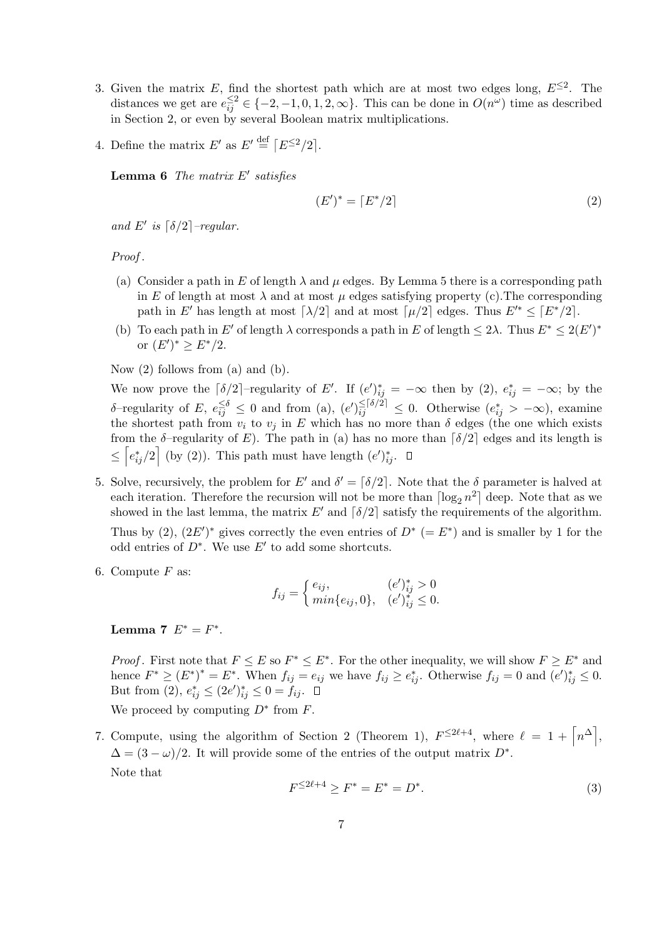- 3. Given the matrix E, find the shortest path which are at most two edges long,  $E^{\leq 2}$ . The distances we get are  $e_{ij}^{\leq 2} \in \{-2, -1, 0, 1, 2, \infty\}$ . This can be done in  $O(n^{\omega})$  time as described in Section 2, or even by several Boolean matrix multiplications.
- 4. Define the matrix E' as  $E' \stackrel{\text{def}}{=} [E^{\leq 2}/2]$ .

**Lemma 6** The matrix  $E'$  satisfies

$$
(E')^* = \lceil E^* / 2 \rceil \tag{2}
$$

and E' is  $\lceil \delta/2 \rceil$ -regular.

Proof .

- (a) Consider a path in E of length  $\lambda$  and  $\mu$  edges. By Lemma 5 there is a corresponding path in E of length at most  $\lambda$  and at most  $\mu$  edges satisfying property (c). The corresponding path in E' has length at most  $\lceil \lambda/2 \rceil$  and at most  $\lceil \mu/2 \rceil$  edges. Thus  $E'^* \leq \lceil E^*/2 \rceil$ .
- (b) To each path in E' of length  $\lambda$  corresponds a path in E of length  $\leq 2\lambda$ . Thus  $E^* \leq 2(E')^*$ or  $(E')^* \geq E^*/2$ .

Now (2) follows from (a) and (b).

We now prove the  $\lceil \delta/2 \rceil$ -regularity of E'. If  $(e')_{ij}^* = -\infty$  then by (2),  $e_{ij}^* = -\infty$ ; by the  $\delta$ -regularity of E,  $e_{ij} \leq \delta \leq 0$  and from (a),  $(e')_{ij} \leq \delta / 2$  (b). Otherwise  $(e_{ij}^* > -\infty)$ , examine the shortest path from  $v_i$  to  $v_j$  in E which has no more than  $\delta$  edges (the one which exists from the  $\delta$ -regularity of E). The path in (a) has no more than  $\lceil \delta/2 \rceil$  edges and its length is  $\leq \left[ e_{ij}^*/2 \right]$  (by (2)). This path must have length  $(e')_{ij}^*$ .

- 5. Solve, recursively, the problem for E' and  $\delta' = \lceil \delta/2 \rceil$ . Note that the  $\delta$  parameter is halved at each iteration. Therefore the recursion will not be more than  $\lceil \log_2 n^2 \rceil$  deep. Note that as we showed in the last lemma, the matrix  $E'$  and  $\lceil \delta/2 \rceil$  satisfy the requirements of the algorithm. Thus by (2),  $(2E')^*$  gives correctly the even entries of  $D^*$  (=  $E^*$ ) and is smaller by 1 for the odd entries of  $D^*$ . We use  $E'$  to add some shortcuts.
- 6. Compute  $F$  as:

$$
f_{ij} = \begin{cases} e_{ij}, & (e')_{ij}^* > 0\\ min\{e_{ij}, 0\}, & (e')_{ij}^* \leq 0. \end{cases}
$$

Lemma 7  $E^* = F^*$ .

*Proof.* First note that  $F \leq E$  so  $F^* \leq E^*$ . For the other inequality, we will show  $F \geq E^*$  and hence  $F^* \ge (E^*)^* = E^*$ . When  $f_{ij} = e_{ij}$  we have  $f_{ij} \ge e^*_{ij}$ . Otherwise  $f_{ij} = 0$  and  $(e')^*_{ij} \le 0$ . But from (2),  $e_{ij}^* \leq (2e')_{ij}^* \leq 0 = f_{ij}$ .

We proceed by computing  $D^*$  from  $F$ .

7. Compute, using the algorithm of Section 2 (Theorem 1),  $F^{\leq 2\ell+4}$ , where  $\ell = 1 + \lceil n^{\Delta} \rceil$ ,  $\Delta = (3 - \omega)/2$ . It will provide some of the entries of the output matrix  $D^*$ . Note that

$$
F^{\leq 2\ell+4} \geq F^* = E^* = D^*.
$$
\n(3)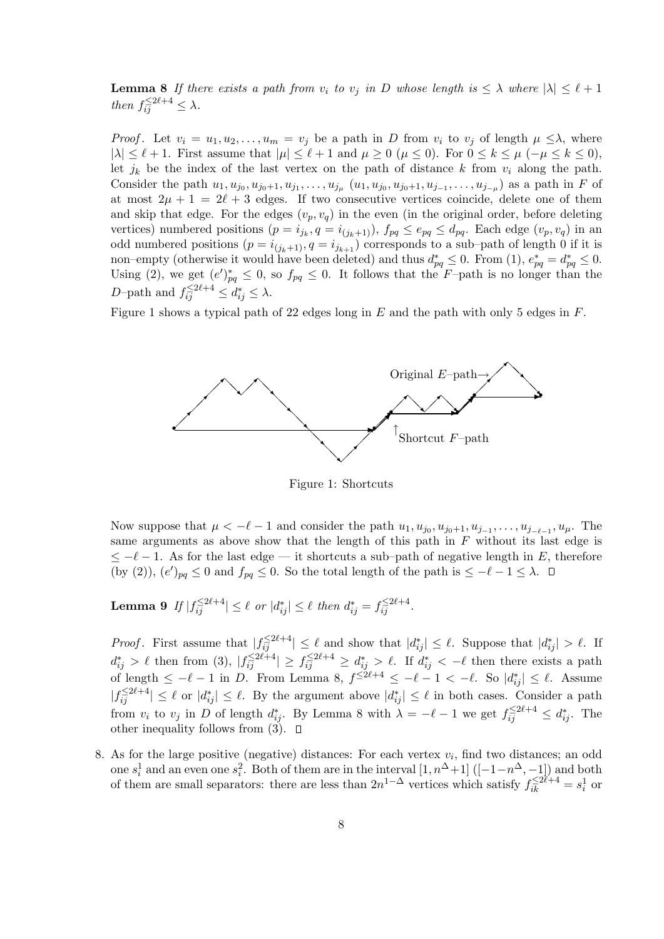**Lemma 8** If there exists a path from  $v_i$  to  $v_j$  in D whose length is  $\leq \lambda$  where  $|\lambda| \leq \ell + 1$ then  $f_{ij}^{\leq 2\ell+4} \leq \lambda$ .

*Proof.* Let  $v_i = u_1, u_2, \ldots, u_m = v_j$  be a path in D from  $v_i$  to  $v_j$  of length  $\mu \leq \lambda$ , where  $|\lambda| \leq \ell + 1$ . First assume that  $|\mu| \leq \ell + 1$  and  $\mu \geq 0$  ( $\mu \leq 0$ ). For  $0 \leq k \leq \mu$  ( $-\mu \leq k \leq 0$ ), let  $j_k$  be the index of the last vertex on the path of distance k from  $v_i$  along the path. Consider the path  $u_1, u_{j_0}, u_{j_0+1}, u_{j_1}, \ldots, u_{j_\mu}$   $(u_1, u_{j_0}, u_{j_0+1}, u_{j_{-1}}, \ldots, u_{j_{-\mu}})$  as a path in F of at most  $2\mu + 1 = 2\ell + 3$  edges. If two consecutive vertices coincide, delete one of them and skip that edge. For the edges  $(v_p, v_q)$  in the even (in the original order, before deleting vertices) numbered positions  $(p = i_{j_k}, q = i_{(j_k+1)}), f_{pq} \le e_{pq} \le d_{pq}$ . Each edge  $(v_p, v_q)$  in an odd numbered positions  $(p = i_{(j_k+1)}, q = i_{j_{k+1}})$  corresponds to a sub-path of length 0 if it is non–empty (otherwise it would have been deleted) and thus  $d_{pq}^* \leq 0$ . From  $(1), e_{pq}^* = d_{pq}^* \leq 0$ . Using (2), we get  $(e')_{pq}^* \leq 0$ , so  $f_{pq} \leq 0$ . It follows that the F-path is no longer than the D–path and  $f_{ij}^{\leq 2\ell+4} \leq d_{ij}^* \leq \lambda$ .

Figure 1 shows a typical path of 22 edges long in  $E$  and the path with only 5 edges in  $F$ .



Figure 1: Shortcuts

Now suppose that  $\mu < -\ell - 1$  and consider the path  $u_1, u_{j_0}, u_{j_0+1}, u_{j_{-1}}, \ldots, u_{j_{-\ell-1}}, u_{\mu}$ . The same arguments as above show that the length of this path in  $F$  without its last edge is  $\epsilon$  –  $\ell$  – 1. As for the last edge — it shortcuts a sub–path of negative length in E, therefore (by (2)),  $(e')_{pq} \leq 0$  and  $f_{pq} \leq 0$ . So the total length of the path is  $\leq -\ell - 1 \leq \lambda$ .

**Lemma 9** If  $|f_{ij}^{\leq 2\ell+4}| \leq \ell$  or  $|d_{ij}^*| \leq \ell$  then  $d_{ij}^* = f_{ij}^{\leq 2\ell+4}$ .

*Proof.* First assume that  $|f_{ij}^{\leq 2\ell+4}| \leq \ell$  and show that  $|d_{ij}^*| \leq \ell$ . Suppose that  $|d_{ij}^*| > \ell$ . If  $d_{ij}^* > \ell$  then from (3),  $|f_{ij}^{\leq 2\ell+4}| \geq f_{ij}^{\leq 2\ell+4} \geq d_{ij}^* > \ell$ . If  $d_{ij}^* < -\ell$  then there exists a path of length  $\leq -\ell - 1$  in D. From Lemma 8,  $f^{\leq 2\ell+4} \leq -\ell - 1 < -\ell$ . So  $|d_{ij}^*| \leq \ell$ . Assume  $|f_{ij}^{\leq 2\ell+4}| \leq \ell$  or  $|d_{ij}^*| \leq \ell$ . By the argument above  $|d_{ij}^*| \leq \ell$  in both cases. Consider a path from  $v_i$  to  $v_j$  in D of length  $d_{ij}^*$ . By Lemma 8 with  $\lambda = -\ell - 1$  we get  $f_{ij}^{\leq 2\ell+4} \leq d_{ij}^*$ . The other inequality follows from (3).  $\square$ 

8. As for the large positive (negative) distances: For each vertex  $v_i$ , find two distances; an odd one  $s_i^1$  and an even one  $s_i^2$ . Both of them are in the interval  $[1, n^{\Delta}+1]$  ( $[-1-n^{\Delta}, -1]$ ) and both of them are small separators: there are less than  $2n^{1-\Delta}$  vertices which satisfy  $f_{ik}^{\leq 2l+4} = s_i^1$  or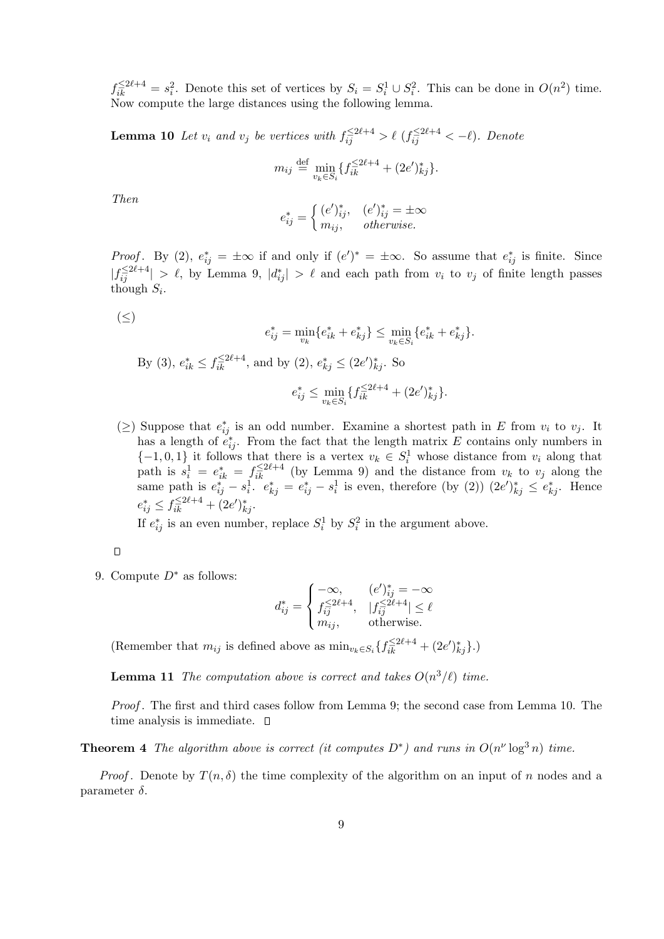$f_{ik}^{\leq 2\ell+4} = s_i^2$ . Denote this set of vertices by  $S_i = S_i^1 \cup S_i^2$ . This can be done in  $O(n^2)$  time. Now compute the large distances using the following lemma.

**Lemma 10** Let  $v_i$  and  $v_j$  be vertices with  $f_{ij}^{\leq 2\ell+4} > \ell$  ( $f_{ij}^{\leq 2\ell+4} < -\ell$ ). Denote

$$
m_{ij} \stackrel{\text{def}}{=} \min_{v_k \in S_i} \{ f_{ik}^{\leq 2\ell+4} + (2e')_{kj}^* \}.
$$

Then

$$
e_{ij}^* = \begin{cases} (e')_{ij}^*, & (e')_{ij}^* = \pm \infty \\ m_{ij}, & otherwise. \end{cases}
$$

*Proof.* By (2),  $e_{ij}^* = \pm \infty$  if and only if  $(e')^* = \pm \infty$ . So assume that  $e_{ij}^*$  is finite. Since  $|f_{ij}^{\leq 2\ell+4}| > \ell$ , by Lemma 9,  $|d_{ij}^*| > \ell$  and each path from  $v_i$  to  $v_j$  of finite length passes though  $S_i$ .

$$
(\leq)
$$

$$
e_{ij}^* = \min_{v_k} \{e_{ik}^* + e_{kj}^*\} \le \min_{v_k \in S_i} \{e_{ik}^* + e_{kj}^*\}.
$$
  
By (3),  $e_{ik}^* \le f_{ik}^{\le 2\ell+4}$ , and by (2),  $e_{kj}^* \le (2e')_{kj}^*$ . So  

$$
e_{ij}^* \le \min_{v_k \in S_i} \{f_{ik}^{\le 2\ell+4} + (2e')_{kj}^*\}.
$$

( $\geq$ ) Suppose that  $e_{ij}^*$  is an odd number. Examine a shortest path in E from  $v_i$  to  $v_j$ . It has a length of  $e_{ij}^*$ . From the fact that the length matrix E contains only numbers in  $\{-1,0,1\}$  it follows that there is a vertex  $v_k \in S_i^1$  whose distance from  $v_i$  along that path is  $s_i^1 = e_{ik}^* = f_{ik}^{\leq 2\ell+4}$  (by Lemma 9) and the distance from  $v_k$  to  $v_j$  along the same path is  $e_{ij}^* - s_i^1 \cdot e_{kj}^* = e_{ij}^* - s_i^1$  is even, therefore (by (2))  $(2e')_{kj}^* \le e_{kj}^*$ . Hence  $e_{ij}^* \leq f_{ik}^{\leq 2\ell+4} + (2e')_{kj}^*$ .

If  $e_{ij}^*$  is an even number, replace  $S_i^1$  by  $S_i^2$  in the argument above.

9. Compute  $D^*$  as follows:

$$
d_{ij}^* = \begin{cases} -\infty, & (e')_{ij}^* = -\infty \\ f_{ij}^{\leq 2\ell+4}, & |f_{ij}^{\leq 2\ell+4}| \leq \ell \\ m_{ij}, & \text{otherwise.} \end{cases}
$$

(Remember that  $m_{ij}$  is defined above as  $\min_{v_k \in S_i} \{ f_{ik}^{\leq 2\ell+4} + (2e')_{kj}^* \}.$ 

**Lemma 11** The computation above is correct and takes  $O(n^3/\ell)$  time.

Proof. The first and third cases follow from Lemma 9; the second case from Lemma 10. The time analysis is immediate.  $\square$ 

**Theorem 4** The algorithm above is correct (it computes  $D^*$ ) and runs in  $O(n^{\nu} \log^3 n)$  time.

*Proof.* Denote by  $T(n, \delta)$  the time complexity of the algorithm on an input of n nodes and a parameter  $\delta$ .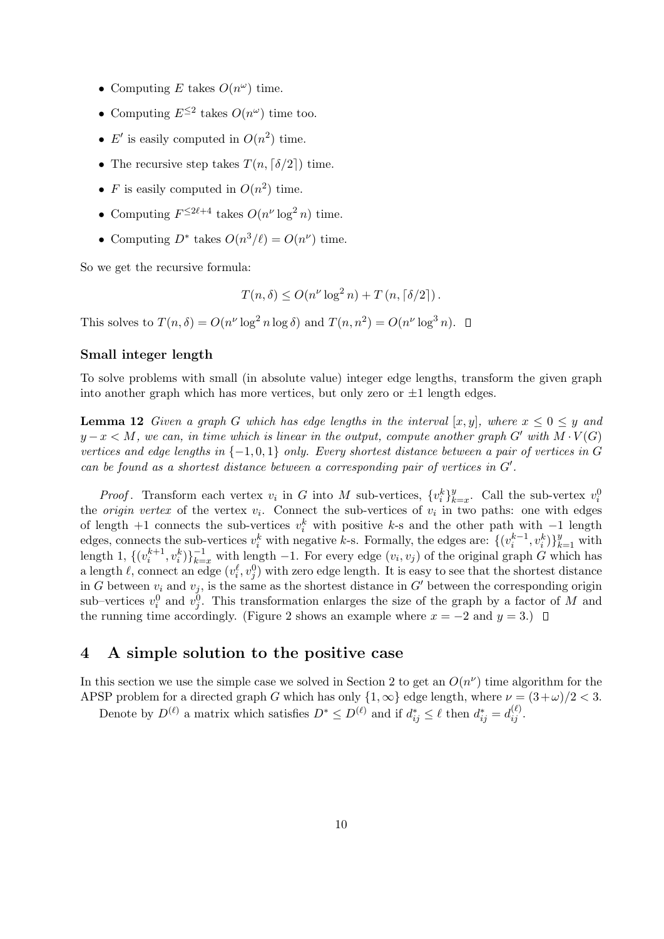- Computing E takes  $O(n^{\omega})$  time.
- Computing  $E^{\leq 2}$  takes  $O(n^{\omega})$  time too.
- $E'$  is easily computed in  $O(n^2)$  time.
- The recursive step takes  $T(n, \lceil \delta/2 \rceil)$  time.
- F is easily computed in  $O(n^2)$  time.
- Computing  $F^{\leq 2\ell+4}$  takes  $O(n^{\nu} \log^2 n)$  time.
- Computing  $D^*$  takes  $O(n^3/\ell) = O(n^{\nu})$  time.

So we get the recursive formula:

$$
T(n,\delta) \le O(n^{\nu} \log^2 n) + T(n, \lceil \delta/2 \rceil).
$$

This solves to  $T(n, \delta) = O(n^{\nu} \log^2 n \log \delta)$  and  $T(n, n^2) = O(n^{\nu} \log^3 n)$ .

#### Small integer length

To solve problems with small (in absolute value) integer edge lengths, transform the given graph into another graph which has more vertices, but only zero or  $\pm 1$  length edges.

**Lemma 12** Given a graph G which has edge lengths in the interval  $[x, y]$ , where  $x \leq 0 \leq y$  and  $y-x < M$ , we can, in time which is linear in the output, compute another graph G' with  $M \cdot V(G)$ vertices and edge lengths in {−1, 0, 1} only. Every shortest distance between a pair of vertices in G can be found as a shortest distance between a corresponding pair of vertices in  $G'$ .

*Proof.* Transform each vertex  $v_i$  in G into M sub-vertices,  $\{v_i^k\}_{k=1}^y$  $y_{k=x}^y$ . Call the sub-vertex  $v_i^0$ the *origin vertex* of the vertex  $v_i$ . Connect the sub-vertices of  $v_i$  in two paths: one with edges of length +1 connects the sub-vertices  $v_i^k$  with positive k-s and the other path with -1 length edges, connects the sub-vertices  $v_i^k$  with negative k-s. Formally, the edges are:  $\{(v_i^{k-1}, v_i^k)\}_{k=1}^y$  with length 1,  $\{(v_i^{k+1}, v_i^k)\}_{k=x}^{-1}$  with length  $-1$ . For every edge  $(v_i, v_j)$  of the original graph G which has a length  $\ell$ , connect an edge  $(v_i^{\ell}, v_j^0)$  with zero edge length. It is easy to see that the shortest distance in G between  $v_i$  and  $v_j$ , is the same as the shortest distance in G' between the corresponding origin sub–vertices  $v_i^0$  and  $v_j^0$ . This transformation enlarges the size of the graph by a factor of M and the running time accordingly. (Figure 2 shows an example where  $x = -2$  and  $y = 3$ .)  $\Box$ 

### 4 A simple solution to the positive case

In this section we use the simple case we solved in Section 2 to get an  $O(n^{\nu})$  time algorithm for the APSP problem for a directed graph G which has only  $\{1,\infty\}$  edge length, where  $\nu = (3+\omega)/2 < 3$ .

Denote by  $D^{(\ell)}$  a matrix which satisfies  $D^* \leq D^{(\ell)}$  and if  $d_{ij}^* \leq \ell$  then  $d_{ij}^* = d_{ij}^{(\ell)}$ .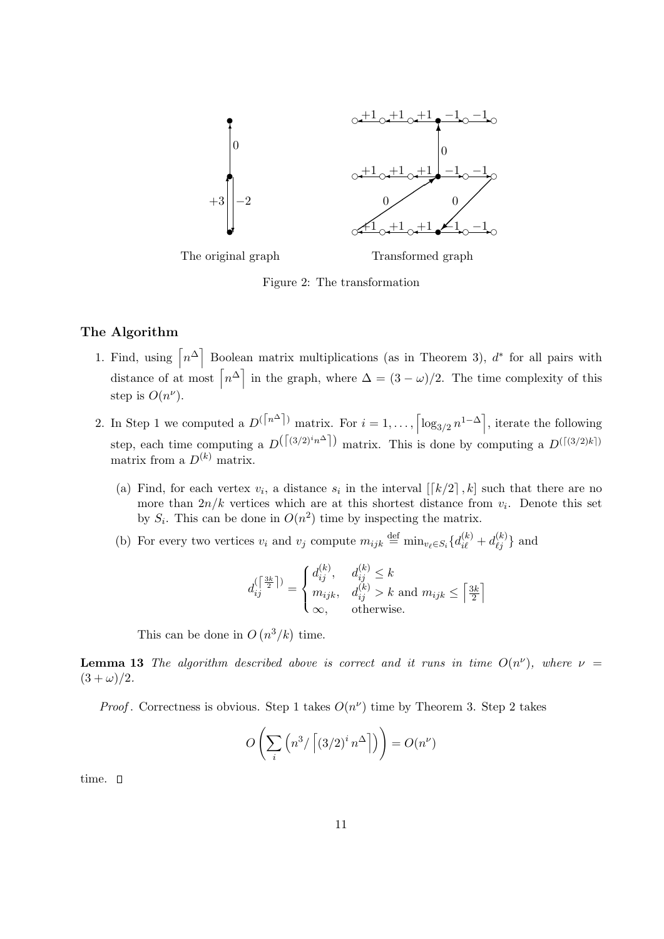

Figure 2: The transformation

#### The Algorithm

- 1. Find, using  $\left[n^{\Delta}\right]$  Boolean matrix multiplications (as in Theorem 3),  $d^*$  for all pairs with distance of at most  $\left[n^{\Delta}\right]$  in the graph, where  $\Delta = (3 - \omega)/2$ . The time complexity of this step is  $O(n^{\nu})$ .
- 2. In Step 1 we computed a  $D^{(\lceil n^{\Delta} \rceil)}$  matrix. For  $i = 1, ..., \lceil \log_{3/2} n^{1-\Delta} \rceil$ , iterate the following step, each time computing a  $D^{(\lceil (3/2)^i n^{\Delta} \rceil)}$  matrix. This is done by computing a  $D^{(\lceil (3/2)k \rceil)}$ matrix from a  $D^{(k)}$  matrix.
	- (a) Find, for each vertex  $v_i$ , a distance  $s_i$  in the interval  $\left[ \lfloor k/2 \rfloor, k \right]$  such that there are no more than  $2n/k$  vertices which are at this shortest distance from  $v_i$ . Denote this set by  $S_i$ . This can be done in  $O(n^2)$  time by inspecting the matrix.
	- (b) For every two vertices  $v_i$  and  $v_j$  compute  $m_{ijk} \stackrel{\text{def}}{=} \min_{v_\ell \in S_i} \{d_{i\ell}^{(k)} + d_{\ell j}^{(k)}\}$  and

$$
d_{ij}^{(\lceil \frac{3k}{2} \rceil)} = \begin{cases} d_{ij}^{(k)}, & d_{ij}^{(k)} \leq k \\ m_{ijk}, & d_{ij}^{(k)} > k \text{ and } m_{ijk} \leq \left\lceil \frac{3k}{2} \right\rceil \\ \infty, & \text{otherwise.} \end{cases}
$$

This can be done in  $O(n^3/k)$  time.

**Lemma 13** The algorithm described above is correct and it runs in time  $O(n^{\nu})$ , where  $\nu =$  $(3 + \omega)/2$ .

*Proof.* Correctness is obvious. Step 1 takes  $O(n^{\nu})$  time by Theorem 3. Step 2 takes

$$
O\left(\sum_{i} \left(n^3 / \left\lceil (3/2)^i n^{\Delta} \right\rceil\right)\right) = O(n^{\nu})
$$

time.  $\square$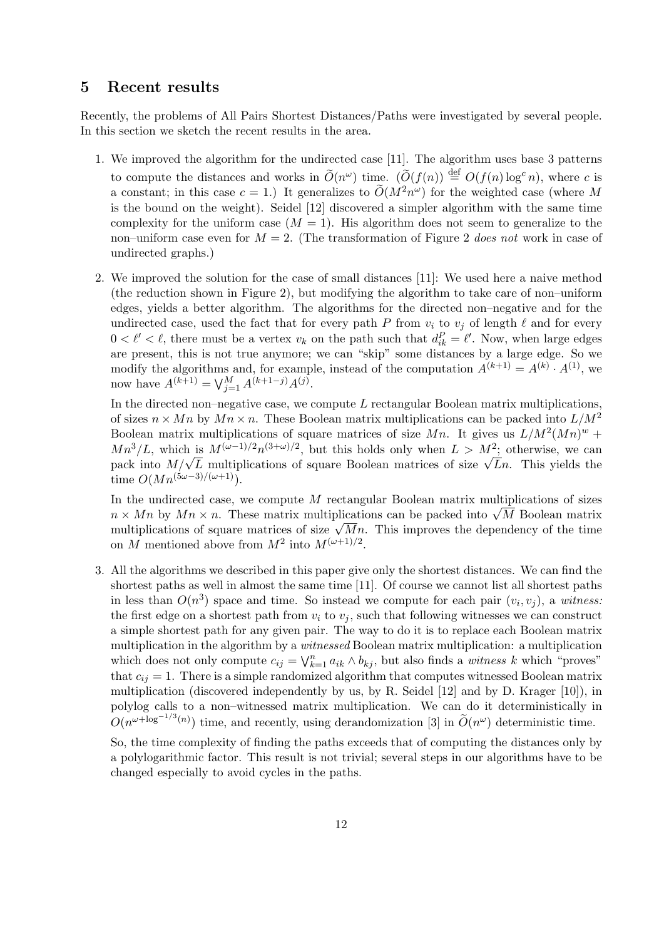### 5 Recent results

Recently, the problems of All Pairs Shortest Distances/Paths were investigated by several people. In this section we sketch the recent results in the area.

- 1. We improved the algorithm for the undirected case [11]. The algorithm uses base 3 patterns to compute the distances and works in  $\widetilde{O}(n^{\omega})$  time.  $(\widetilde{O}(f(n)) \stackrel{\text{def}}{=} O(f(n) \log^c n)$ , where c is a constant; in this case  $c = 1$ .) It generalizes to  $O(M^2 n^{\omega})$  for the weighted case (where M is the bound on the weight). Seidel [12] discovered a simpler algorithm with the same time complexity for the uniform case  $(M = 1)$ . His algorithm does not seem to generalize to the non–uniform case even for  $M = 2$ . (The transformation of Figure 2 does not work in case of undirected graphs.)
- 2. We improved the solution for the case of small distances [11]: We used here a naive method (the reduction shown in Figure 2), but modifying the algorithm to take care of non–uniform edges, yields a better algorithm. The algorithms for the directed non–negative and for the undirected case, used the fact that for every path P from  $v_i$  to  $v_j$  of length  $\ell$  and for every  $0 < \ell' < \ell$ , there must be a vertex  $v_k$  on the path such that  $d_{ik}^P = \ell'$ . Now, when large edges are present, this is not true anymore; we can "skip" some distances by a large edge. So we modify the algorithms and, for example, instead of the computation  $A^{(k+1)} = A^{(k)} \cdot A^{(1)}$ , we now have  $A^{(k+1)} = \bigvee_{j=1}^{M} A^{(k+1-j)} A^{(j)}$ .

In the directed non–negative case, we compute  $L$  rectangular Boolean matrix multiplications, of sizes  $n \times Mn$  by  $Mn \times n$ . These Boolean matrix multiplications can be packed into  $L/M^2$ Boolean matrix multiplications of square matrices of size Mn. It gives us  $L/M^2(Mn)^w$  +  $Mn^3/L$ , which is  $M^{(\omega-1)/2}n^{(3+\omega)/2}$ , but this holds only when  $L > M^2$ ; otherwise, we can  $Mn^3/L$ , which is  $M^{(\omega-1)/2}n^{(3+\omega)/2}$ , but this holds only when  $L > M^2$ ; otherwise, we can pack into  $M/\sqrt{L}$  multiplications of square Boolean matrices of size  $\sqrt{L}n$ . This yields the time  $O(Mn^{(5\omega-3)/(\omega+1)})$ .

In the undirected case, we compute M rectangular Boolean matrix multiplications of sizes In the undirected case, we compute M rectangular Boolean matrix multiplications of sizes  $n \times Mn$  by  $Mn \times n$ . These matrix multiplications can be packed into  $\sqrt{M}$  Boolean matrix  $n \times Mn$  by  $Mn \times n$ . These matrix multiplications can be packed into  $\sqrt{M}$  Boolean matrix multiplications of square matrices of size  $\sqrt{M}n$ . This improves the dependency of the time on M mentioned above from  $M^2$  into  $M^{(\omega+1)/2}$ .

3. All the algorithms we described in this paper give only the shortest distances. We can find the shortest paths as well in almost the same time [11]. Of course we cannot list all shortest paths in less than  $O(n^3)$  space and time. So instead we compute for each pair  $(v_i, v_j)$ , a witness. the first edge on a shortest path from  $v_i$  to  $v_j$ , such that following witnesses we can construct a simple shortest path for any given pair. The way to do it is to replace each Boolean matrix multiplication in the algorithm by a *witnessed* Boolean matrix multiplication: a multiplication which does not only compute  $c_{ij} = \bigvee_{k=1}^{n} a_{ik} \wedge b_{kj}$ , but also finds a *witness k* which "proves" that  $c_{ij} = 1$ . There is a simple randomized algorithm that computes witnessed Boolean matrix multiplication (discovered independently by us, by R. Seidel [12] and by D. Krager [10]), in polylog calls to a non–witnessed matrix multiplication. We can do it deterministically in  $O(n^{\omega + \log^{-1/3}(n)})$  time, and recently, using derandomization [3] in  $\tilde{O}(n^{\omega})$  deterministic time.

So, the time complexity of finding the paths exceeds that of computing the distances only by a polylogarithmic factor. This result is not trivial; several steps in our algorithms have to be changed especially to avoid cycles in the paths.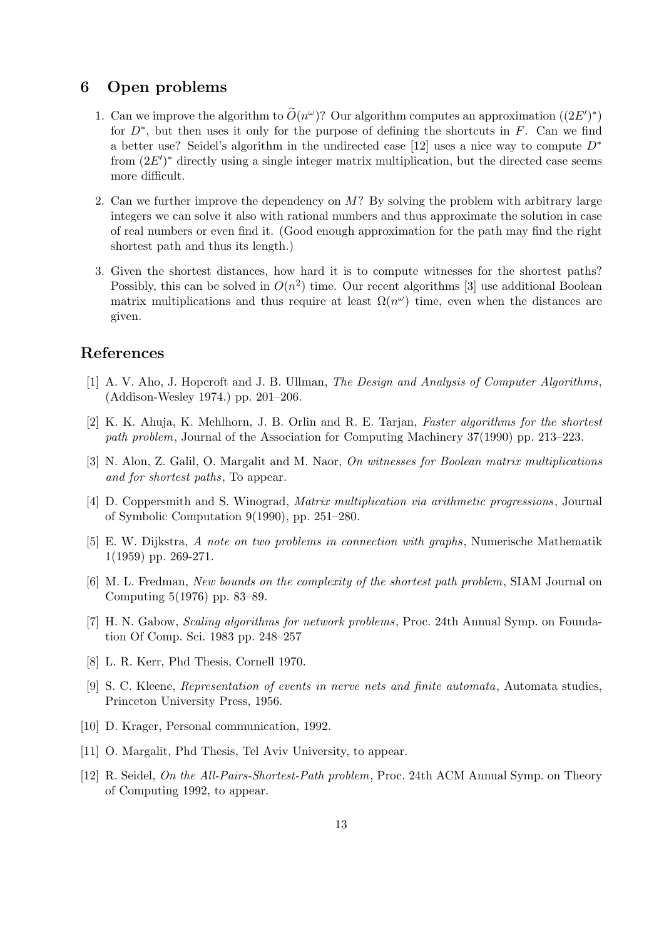# 6 Open problems

- 1. Can we improve the algorithm to  $\tilde{O}(n^{\omega})$ ? Our algorithm computes an approximation  $((2E')^*)$ for  $D^*$ , but then uses it only for the purpose of defining the shortcuts in F. Can we find a better use? Seidel's algorithm in the undirected case [12] uses a nice way to compute  $D^*$ from  $(2E')^*$  directly using a single integer matrix multiplication, but the directed case seems more difficult.
- 2. Can we further improve the dependency on  $M$ ? By solving the problem with arbitrary large integers we can solve it also with rational numbers and thus approximate the solution in case of real numbers or even find it. (Good enough approximation for the path may find the right shortest path and thus its length.)
- 3. Given the shortest distances, how hard it is to compute witnesses for the shortest paths? Possibly, this can be solved in  $O(n^2)$  time. Our recent algorithms [3] use additional Boolean matrix multiplications and thus require at least  $\Omega(n^{\omega})$  time, even when the distances are given.

### References

- [1] A. V. Aho, J. Hopcroft and J. B. Ullman, The Design and Analysis of Computer Algorithms, (Addison-Wesley 1974.) pp. 201–206.
- [2] K. K. Ahuja, K. Mehlhorn, J. B. Orlin and R. E. Tarjan, Faster algorithms for the shortest path problem, Journal of the Association for Computing Machinery 37(1990) pp. 213–223.
- [3] N. Alon, Z. Galil, O. Margalit and M. Naor, On witnesses for Boolean matrix multiplications and for shortest paths, To appear.
- [4] D. Coppersmith and S. Winograd, Matrix multiplication via arithmetic progressions, Journal of Symbolic Computation 9(1990), pp. 251–280.
- [5] E. W. Dijkstra, A note on two problems in connection with graphs, Numerische Mathematik 1(1959) pp. 269-271.
- [6] M. L. Fredman, New bounds on the complexity of the shortest path problem, SIAM Journal on Computing 5(1976) pp. 83–89.
- [7] H. N. Gabow, Scaling algorithms for network problems, Proc. 24th Annual Symp. on Foundation Of Comp. Sci. 1983 pp. 248–257
- [8] L. R. Kerr, Phd Thesis, Cornell 1970.
- [9] S. C. Kleene, Representation of events in nerve nets and finite automata, Automata studies, Princeton University Press, 1956.
- [10] D. Krager, Personal communication, 1992.
- [11] O. Margalit, Phd Thesis, Tel Aviv University, to appear.
- [12] R. Seidel, On the All-Pairs-Shortest-Path problem, Proc. 24th ACM Annual Symp. on Theory of Computing 1992, to appear.